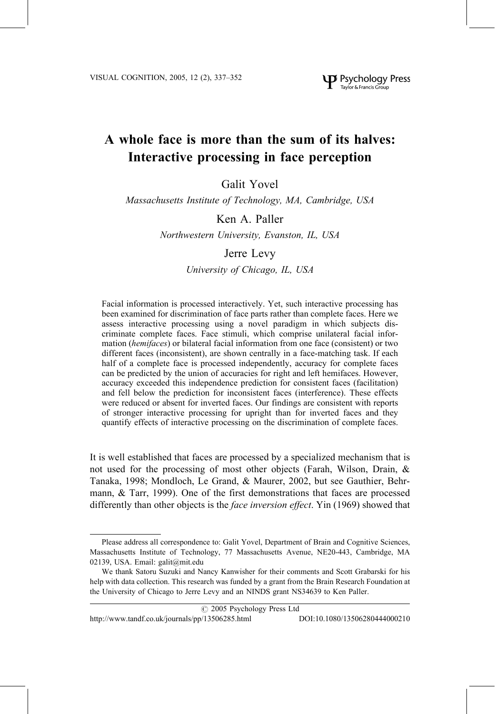# A whole face is more than the sum of its halves: Interactive processing in face perception

Galit Yovel

Massachusetts Institute of Technology, MA, Cambridge, USA

# Ken A. Paller

Northwestern University, Evanston, IL, USA

### Jerre Levy

University of Chicago, IL, USA

Facial information is processed interactively. Yet, such interactive processing has been examined for discrimination of face parts rather than complete faces. Here we assess interactive processing using a novel paradigm in which subjects discriminate complete faces. Face stimuli, which comprise unilateral facial information (hemifaces) or bilateral facial information from one face (consistent) or two different faces (inconsistent), are shown centrally in a face-matching task. If each half of a complete face is processed independently, accuracy for complete faces can be predicted by the union of accuracies for right and left hemifaces. However, accuracy exceeded this independence prediction for consistent faces (facilitation) and fell below the prediction for inconsistent faces (interference). These effects were reduced or absent for inverted faces. Our findings are consistent with reports of stronger interactive processing for upright than for inverted faces and they quantify effects of interactive processing on the discrimination of complete faces.

It is well established that faces are processed by a specialized mechanism that is not used for the processing of most other objects (Farah, Wilson, Drain, & Tanaka, 1998; Mondloch, Le Grand, & Maurer, 2002, but see Gauthier, Behrmann, & Tarr, 1999). One of the first demonstrations that faces are processed differently than other objects is the *face inversion effect*. Yin (1969) showed that

### C 2005 Psychology Press Ltd

http://www.tandf.co.uk/journals/pp/13506285.html DOI:10.1080/13506280444000210

Please address all correspondence to: Galit Yovel, Department of Brain and Cognitive Sciences, Massachusetts Institute of Technology, 77 Massachusetts Avenue, NE20-443, Cambridge, MA 02139, USA. Email: galit@mit.edu

We thank Satoru Suzuki and Nancy Kanwisher for their comments and Scott Grabarski for his help with data collection. This research was funded by a grant from the Brain Research Foundation at the University of Chicago to Jerre Levy and an NINDS grant NS34639 to Ken Paller.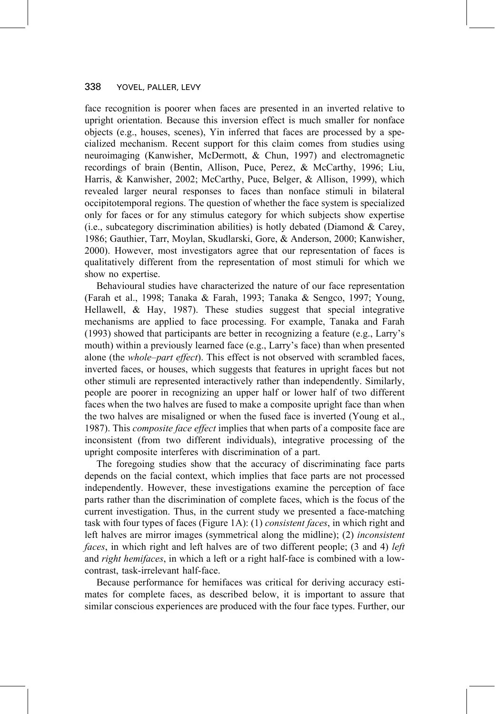face recognition is poorer when faces are presented in an inverted relative to upright orientation. Because this inversion effect is much smaller for nonface objects (e.g., houses, scenes), Yin inferred that faces are processed by a specialized mechanism. Recent support for this claim comes from studies using neuroimaging (Kanwisher, McDermott, & Chun, 1997) and electromagnetic recordings of brain (Bentin, Allison, Puce, Perez, & McCarthy, 1996; Liu, Harris, & Kanwisher, 2002; McCarthy, Puce, Belger, & Allison, 1999), which revealed larger neural responses to faces than nonface stimuli in bilateral occipitotemporal regions. The question of whether the face system is specialized only for faces or for any stimulus category for which subjects show expertise (i.e., subcategory discrimination abilities) is hotly debated (Diamond & Carey, 1986; Gauthier, Tarr, Moylan, Skudlarski, Gore, & Anderson, 2000; Kanwisher, 2000). However, most investigators agree that our representation of faces is qualitatively different from the representation of most stimuli for which we show no expertise.

Behavioural studies have characterized the nature of our face representation (Farah et al., 1998; Tanaka & Farah, 1993; Tanaka & Sengco, 1997; Young, Hellawell, & Hay, 1987). These studies suggest that special integrative mechanisms are applied to face processing. For example, Tanaka and Farah (1993) showed that participants are better in recognizing a feature (e.g., Larry's mouth) within a previously learned face (e.g., Larry's face) than when presented alone (the *whole–part effect*). This effect is not observed with scrambled faces, inverted faces, or houses, which suggests that features in upright faces but not other stimuli are represented interactively rather than independently. Similarly, people are poorer in recognizing an upper half or lower half of two different faces when the two halves are fused to make a composite upright face than when the two halves are misaligned or when the fused face is inverted (Young et al., 1987). This *composite face effect* implies that when parts of a composite face are inconsistent (from two different individuals), integrative processing of the upright composite interferes with discrimination of a part.

The foregoing studies show that the accuracy of discriminating face parts depends on the facial context, which implies that face parts are not processed independently. However, these investigations examine the perception of face parts rather than the discrimination of complete faces, which is the focus of the current investigation. Thus, in the current study we presented a face-matching task with four types of faces (Figure 1A): (1) *consistent faces*, in which right and left halves are mirror images (symmetrical along the midline); (2) *inconsistent faces*, in which right and left halves are of two different people; (3 and 4) *left* and right hemifaces, in which a left or a right half-face is combined with a lowcontrast, task-irrelevant half-face.

Because performance for hemifaces was critical for deriving accuracy estimates for complete faces, as described below, it is important to assure that similar conscious experiences are produced with the four face types. Further, our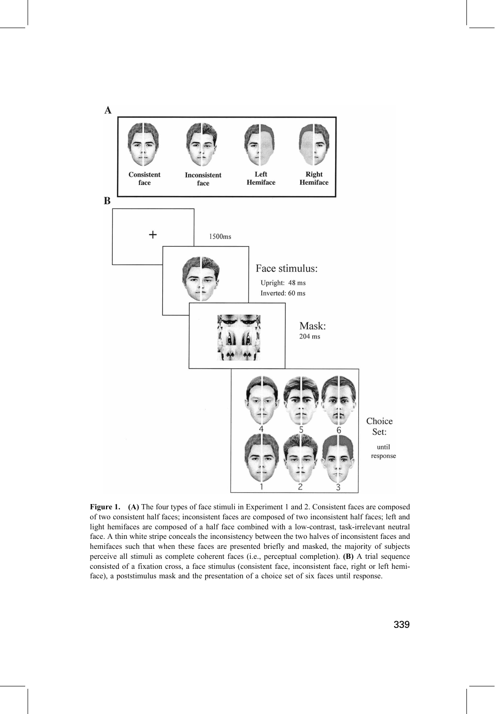

Figure 1. (A) The four types of face stimuli in Experiment 1 and 2. Consistent faces are composed of two consistent half faces; inconsistent faces are composed of two inconsistent half faces; left and light hemifaces are composed of a half face combined with a low-contrast, task-irrelevant neutral face. A thin white stripe conceals the inconsistency between the two halves of inconsistent faces and hemifaces such that when these faces are presented briefly and masked, the majority of subjects perceive all stimuli as complete coherent faces (i.e., perceptual completion). (B) A trial sequence consisted of a fixation cross, a face stimulus (consistent face, inconsistent face, right or left hemiface), a poststimulus mask and the presentation of a choice set of six faces until response.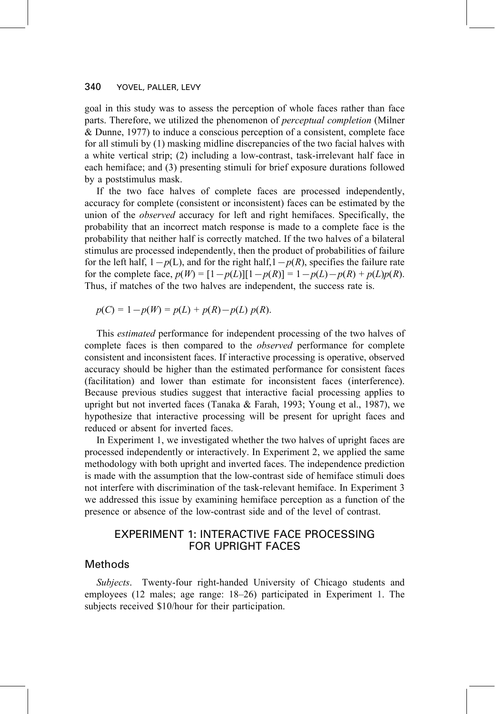goal in this study was to assess the perception of whole faces rather than face parts. Therefore, we utilized the phenomenon of *perceptual completion* (Milner & Dunne, 1977) to induce a conscious perception of a consistent, complete face for all stimuli by (1) masking midline discrepancies of the two facial halves with a white vertical strip; (2) including a low-contrast, task-irrelevant half face in each hemiface; and (3) presenting stimuli for brief exposure durations followed by a poststimulus mask.

If the two face halves of complete faces are processed independently, accuracy for complete (consistent or inconsistent) faces can be estimated by the union of the *observed* accuracy for left and right hemifaces. Specifically, the probability that an incorrect match response is made to a complete face is the probability that neither half is correctly matched. If the two halves of a bilateral stimulus are processed independently, then the product of probabilities of failure for the left half,  $1 - p(L)$ , and for the right half,  $1 - p(R)$ , specifies the failure rate for the complete face,  $p(W) = [1 - p(L)][1 - p(R)] = 1 - p(L) - p(R) + p(L)p(R)$ . Thus, if matches of the two halves are independent, the success rate is.

 $p(C) = 1 - p(W) = p(L) + p(R) - p(L) p(R).$ 

This estimated performance for independent processing of the two halves of complete faces is then compared to the *observed* performance for complete consistent and inconsistent faces. If interactive processing is operative, observed accuracy should be higher than the estimated performance for consistent faces (facilitation) and lower than estimate for inconsistent faces (interference). Because previous studies suggest that interactive facial processing applies to upright but not inverted faces (Tanaka & Farah, 1993; Young et al., 1987), we hypothesize that interactive processing will be present for upright faces and reduced or absent for inverted faces.

In Experiment 1, we investigated whether the two halves of upright faces are processed independently or interactively. In Experiment 2, we applied the same methodology with both upright and inverted faces. The independence prediction is made with the assumption that the low-contrast side of hemiface stimuli does not interfere with discrimination of the task-relevant hemiface. In Experiment 3 we addressed this issue by examining hemiface perception as a function of the presence or absence of the low-contrast side and of the level of contrast.

# **EXPERIMENT 1: INTERACTIVE FACE PROCESSING FOR UPRIGHT FACES**

# Methods

Subjects. Twenty-four right-handed University of Chicago students and employees (12 males; age range:  $18-26$ ) participated in Experiment 1. The subjects received \$10/hour for their participation.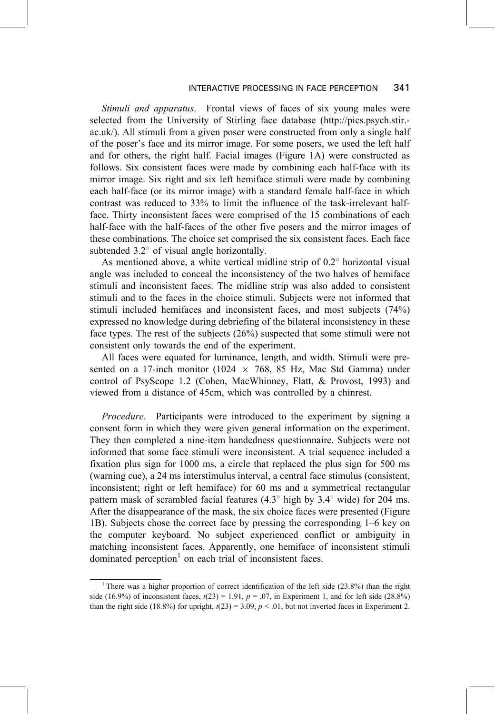#### INTERACTIVE PROCESSING IN FACE PERCEPTION 341

Stimuli and apparatus. Frontal views of faces of six young males were selected from the University of Stirling face database (http://pics.psych.stir.ac.uk/). All stimuli from a given poser were constructed from only a single half of the poser's face and its mirror image. For some posers, we used the left half and for others, the right half. Facial images (Figure 1A) were constructed as follows. Six consistent faces were made by combining each half-face with its mirror image. Six right and six left hemiface stimuli were made by combining each half-face (or its mirror image) with a standard female half-face in which contrast was reduced to 33% to limit the influence of the task-irrelevant halfface. Thirty inconsistent faces were comprised of the 15 combinations of each half-face with the half-faces of the other five posers and the mirror images of these combinations. The choice set comprised the six consistent faces. Each face subtended 3.2° of visual angle horizontally.

As mentioned above, a white vertical midline strip of  $0.2^{\circ}$  horizontal visual angle was included to conceal the inconsistency of the two halves of hemiface stimuli and inconsistent faces. The midline strip was also added to consistent stimuli and to the faces in the choice stimuli. Subjects were not informed that stimuli included hemifaces and inconsistent faces, and most subjects (74%) expressed no knowledge during debriefing of the bilateral inconsistency in these face types. The rest of the subjects  $(26%)$  suspected that some stimuli were not consistent only towards the end of the experiment.

All faces were equated for luminance, length, and width. Stimuli were presented on a 17-inch monitor (1024  $\times$  768, 85 Hz, Mac Std Gamma) under control of PsyScope 1.2 (Cohen, MacWhinney, Flatt, & Provost, 1993) and viewed from a distance of 45cm, which was controlled by a chinrest.

*Procedure.* Participants were introduced to the experiment by signing a consent form in which they were given general information on the experiment. They then completed a nine-item handedness questionnaire. Subjects were not informed that some face stimuli were inconsistent. A trial sequence included a fixation plus sign for 1000 ms, a circle that replaced the plus sign for 500 ms (warning cue), a 24 ms interstimulus interval, a central face stimulus (consistent, inconsistent; right or left hemiface) for 60 ms and a symmetrical rectangular pattern mask of scrambled facial features  $(4.3^{\circ}$  high by  $3.4^{\circ}$  wide) for 204 ms. After the disappearance of the mask, the six choice faces were presented (Figure 1B). Subjects chose the correct face by pressing the corresponding 1–6 key on the computer keyboard. No subject experienced conflict or ambiguity in matching inconsistent faces. Apparently, one hemiface of inconsistent stimuli dominated perception<sup>1</sup> on each trial of inconsistent faces.

<sup>&</sup>lt;sup>1</sup> There was a higher proportion of correct identification of the left side  $(23.8\%)$  than the right side (16.9%) of inconsistent faces,  $t(23) = 1.91$ ,  $p = .07$ , in Experiment 1, and for left side (28.8%) than the right side (18.8%) for upright,  $t(23) = 3.09$ ,  $p < .01$ , but not inverted faces in Experiment 2.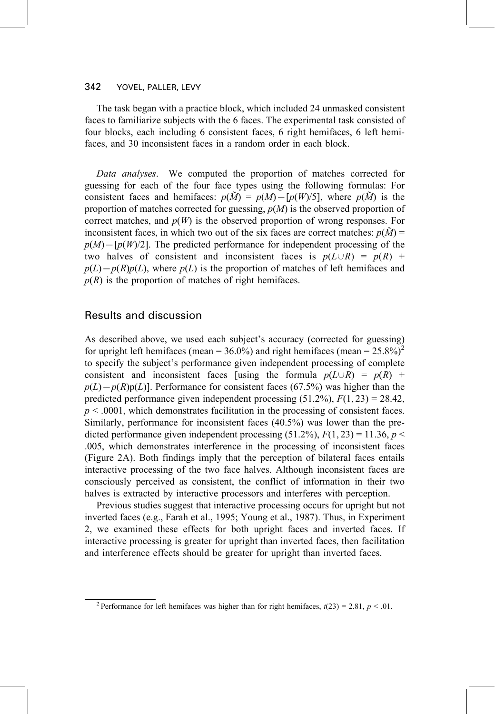The task began with a practice block, which included 24 unmasked consistent faces to familiarize subjects with the 6 faces. The experimental task consisted of four blocks, each including 6 consistent faces, 6 right hemifaces, 6 left hemifaces, and 30 inconsistent faces in a random order in each block.

Data analyses. We computed the proportion of matches corrected for guessing for each of the four face types using the following formulas: For consistent faces and hemifaces:  $p(M) = p(M) - [p(W)/5]$ , where  $p(M)$  is the proportion of matches corrected for guessing,  $p(M)$  is the observed proportion of correct matches, and  $p(W)$  is the observed proportion of wrong responses. For inconsistent faces, in which two out of the six faces are correct matches:  $p(M)$  =  $p(M) - [p(W)/2]$ . The predicted performance for independent processing of the two halves of consistent and inconsistent faces is  $p(L\cup R) = p(R)$  +  $p(L) - p(R)p(L)$ , where  $p(L)$  is the proportion of matches of left hemifaces and  $p(R)$  is the proportion of matches of right hemifaces.

# Results and discussion

As described above, we used each subject's accuracy (corrected for guessing) for upright left hemifaces (mean =  $36.0\%$ ) and right hemifaces (mean =  $25.8\%$ )<sup>2</sup> to specify the subject's performance given independent processing of complete consistent and inconsistent faces [using the formula  $p(L \cup R) = p(R)$  +  $p(L) - p(R)p(L)$ ]. Performance for consistent faces (67.5%) was higher than the predicted performance given independent processing  $(51.2\%)$ ,  $F(1,23) = 28.42$ ,  $p \leq 0.0001$ , which demonstrates facilitation in the processing of consistent faces. Similarly, performance for inconsistent faces (40.5%) was lower than the predicted performance given independent processing (51.2%),  $F(1,23) = 11.36, p <$ .005, which demonstrates interference in the processing of inconsistent faces (Figure 2A). Both findings imply that the perception of bilateral faces entails interactive processing of the two face halves. Although inconsistent faces are consciously perceived as consistent, the conflict of information in their two halves is extracted by interactive processors and interferes with perception.

Previous studies suggest that interactive processing occurs for upright but not inverted faces (e.g., Farah et al., 1995; Young et al., 1987). Thus, in Experiment 2, we examined these effects for both upright faces and inverted faces. If interactive processing is greater for upright than inverted faces, then facilitation and interference effects should be greater for upright than inverted faces.

<sup>&</sup>lt;sup>2</sup> Performance for left hemifaces was higher than for right hemifaces,  $t(23) = 2.81$ ,  $p < .01$ .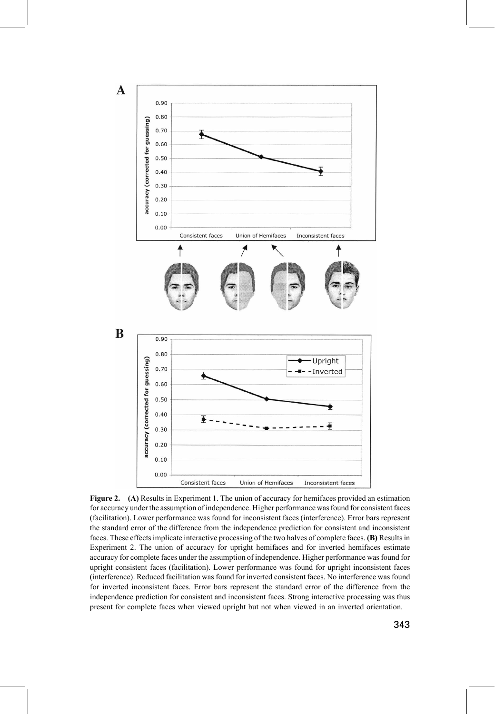

Figure 2. (A) Results in Experiment 1. The union of accuracy for hemifaces provided an estimation for accuracy under the assumption of independence. Higher performance was found for consistent faces (facilitation). Lower performance was found for inconsistent faces (interference). Error bars represent the standard error of the difference from the independence prediction for consistent and inconsistent faces. These effects implicate interactive processing of the two halves of complete faces. (B) Results in Experiment 2. The union of accuracy for upright hemifaces and for inverted hemifaces estimate accuracy for complete faces under the assumption of independence. Higher performance was found for upright consistent faces (facilitation). Lower performance was found for upright inconsistent faces (interference). Reduced facilitation was found for inverted consistent faces. No interference was found for inverted inconsistent faces. Error bars represent the standard error of the difference from the independence prediction for consistent and inconsistent faces. Strong interactive processing was thus present for complete faces when viewed upright but not when viewed in an inverted orientation.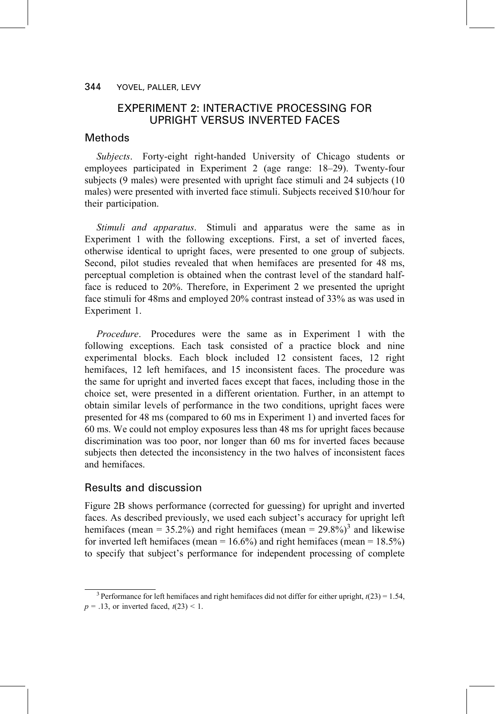# **EXPERIMENT 2: INTERACTIVE PROCESSING FOR** UPRIGHT VERSUS INVERTED FACES

# Methods

Subjects. Forty-eight right-handed University of Chicago students or employees participated in Experiment 2 (age range: 18–29). Twenty-four subjects (9 males) were presented with upright face stimuli and 24 subjects (10 males) were presented with inverted face stimuli. Subjects received \$10/hour for their participation.

Stimuli and apparatus. Stimuli and apparatus were the same as in Experiment 1 with the following exceptions. First, a set of inverted faces, otherwise identical to upright faces, were presented to one group of subjects. Second, pilot studies revealed that when hemifaces are presented for 48 ms, perceptual completion is obtained when the contrast level of the standard halfface is reduced to 20%. Therefore, in Experiment 2 we presented the upright face stimuli for 48ms and employed 20% contrast instead of 33% as was used in Experiment 1.

*Procedure*. Procedures were the same as in Experiment 1 with the following exceptions. Each task consisted of a practice block and nine experimental blocks. Each block included 12 consistent faces, 12 right hemifaces, 12 left hemifaces, and 15 inconsistent faces. The procedure was the same for upright and inverted faces except that faces, including those in the choice set, were presented in a different orientation. Further, in an attempt to obtain similar levels of performance in the two conditions, upright faces were presented for 48 ms (compared to 60 ms in Experiment 1) and inverted faces for 60 ms. We could not employ exposures less than 48 ms for upright faces because discrimination was too poor, nor longer than 60 ms for inverted faces because subjects then detected the inconsistency in the two halves of inconsistent faces and hemifaces.

# Results and discussion

Figure 2B shows performance (corrected for guessing) for upright and inverted faces. As described previously, we used each subject's accuracy for upright left hemifaces (mean = 35.2%) and right hemifaces (mean =  $29.8\%$ )<sup>3</sup> and likewise for inverted left hemifaces (mean =  $16.6\%$ ) and right hemifaces (mean =  $18.5\%$ ) to specify that subject's performance for independent processing of complete

<sup>&</sup>lt;sup>3</sup> Performance for left hemifaces and right hemifaces did not differ for either upright,  $t(23) = 1.54$ ,  $p = .13$ , or inverted faced,  $t(23) < 1$ .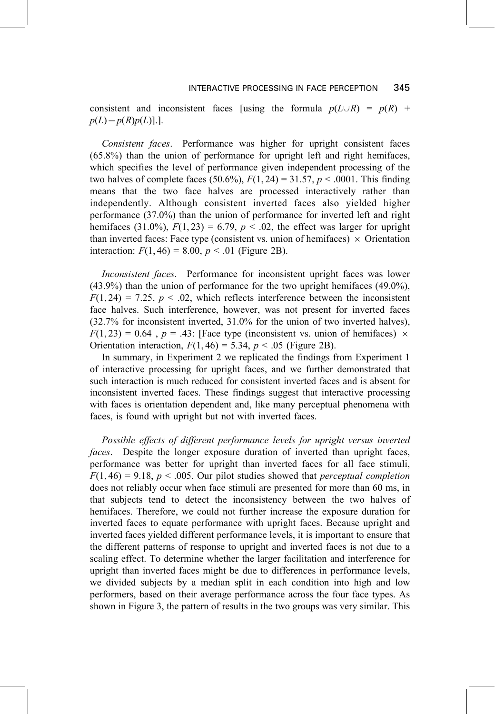consistent and inconsistent faces [using the formula  $p(L \cup R) = p(R)$  +  $p(L) - p(R)p(L)$ ].].

Consistent faces. Performance was higher for upright consistent faces  $(65.8\%)$  than the union of performance for upright left and right hemifaces, which specifies the level of performance given independent processing of the two halves of complete faces (50.6%),  $F(1, 24) = 31.57$ ,  $p < .0001$ . This finding means that the two face halves are processed interactively rather than independently. Although consistent inverted faces also yielded higher performance  $(37.0\%)$  than the union of performance for inverted left and right hemifaces (31.0%),  $F(1,23) = 6.79$ ,  $p < .02$ , the effect was larger for upright than inverted faces: Face type (consistent vs. union of hemifaces)  $\times$  Orientation interaction:  $F(1, 46) = 8.00, p < .01$  (Figure 2B).

*Inconsistent faces.* Performance for inconsistent upright faces was lower  $(43.9\%)$  than the union of performance for the two upright hemifaces  $(49.0\%)$ ,  $F(1, 24) = 7.25$ ,  $p < .02$ , which reflects interference between the inconsistent face halves. Such interference, however, was not present for inverted faces (32.7% for inconsistent inverted, 31.0% for the union of two inverted halves),  $F(1,23) = 0.64$ ,  $p = .43$ : [Face type (inconsistent vs. union of hemifaces)  $\times$ Orientation interaction,  $F(1, 46) = 5.34$ ,  $p < .05$  (Figure 2B).

In summary, in Experiment 2 we replicated the findings from Experiment 1 of interactive processing for upright faces, and we further demonstrated that such interaction is much reduced for consistent inverted faces and is absent for inconsistent inverted faces. These findings suggest that interactive processing with faces is orientation dependent and, like many perceptual phenomena with faces, is found with upright but not with inverted faces.

Possible effects of different performance levels for upright versus inverted *faces.* Despite the longer exposure duration of inverted than upright faces, performance was better for upright than inverted faces for all face stimuli,  $F(1, 46) = 9.18$ ,  $p < .005$ . Our pilot studies showed that *perceptual completion* does not reliably occur when face stimuli are presented for more than 60 ms, in that subjects tend to detect the inconsistency between the two halves of hemifaces. Therefore, we could not further increase the exposure duration for inverted faces to equate performance with upright faces. Because upright and inverted faces yielded different performance levels, it is important to ensure that the different patterns of response to upright and inverted faces is not due to a scaling effect. To determine whether the larger facilitation and interference for upright than inverted faces might be due to differences in performance levels, we divided subjects by a median split in each condition into high and low performers, based on their average performance across the four face types. As shown in Figure 3, the pattern of results in the two groups was very similar. This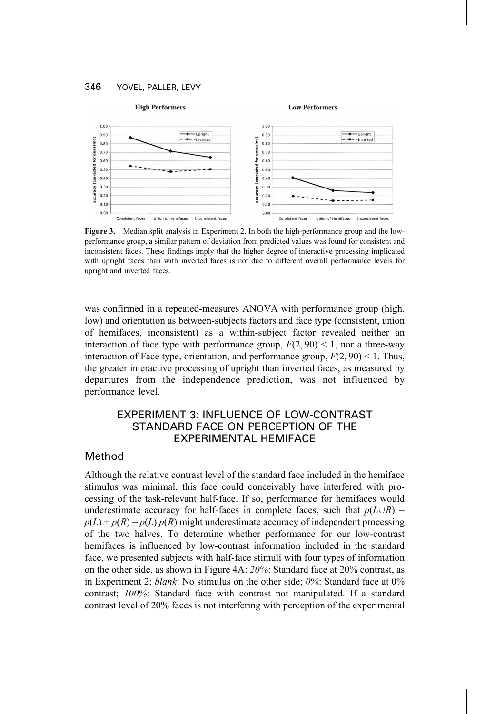

Figure 3. Median split analysis in Experiment 2. In both the high-performance group and the lowperformance group, a similar pattern of deviation from predicted values was found for consistent and inconsistent faces. These findings imply that the higher degree of interactive processing implicated with upright faces than with inverted faces is not due to different overall performance levels for upright and inverted faces.

was confirmed in a repeated-measures ANOVA with performance group (high, low) and orientation as between-subjects factors and face type (consistent, union of hemifaces, inconsistent) as a within-subject factor revealed neither an interaction of face type with performance group,  $F(2,90) < 1$ , nor a three-way interaction of Face type, orientation, and performance group,  $F(2, 90) < 1$ . Thus, the greater interactive processing of upright than inverted faces, as measured by departures from the independence prediction, was not influenced by performance level.

# **EXPERIMENT 3: INFLUENCE OF LOW-CONTRAST** STANDARD FACE ON PERCEPTION OF THE **EXPERIMENTAL HEMIFACE**

# Method

Although the relative contrast level of the standard face included in the hemiface stimulus was minimal, this face could conceivably have interfered with processing of the task-relevant half-face. If so, performance for hemifaces would underestimate accuracy for half-faces in complete faces, such that  $p(L \cup R)$  =  $p(L) + p(R) - p(L) p(R)$  might underestimate accuracy of independent processing of the two halves. To determine whether performance for our low-contrast hemifaces is influenced by low-contrast information included in the standard face, we presented subjects with half-face stimuli with four types of information on the other side, as shown in Figure 4A: 20%: Standard face at 20% contrast, as in Experiment 2; *blank*: No stimulus on the other side;  $0\%$ : Standard face at  $0\%$ contrast; 100%: Standard face with contrast not manipulated. If a standard contrast level of 20% faces is not interfering with perception of the experimental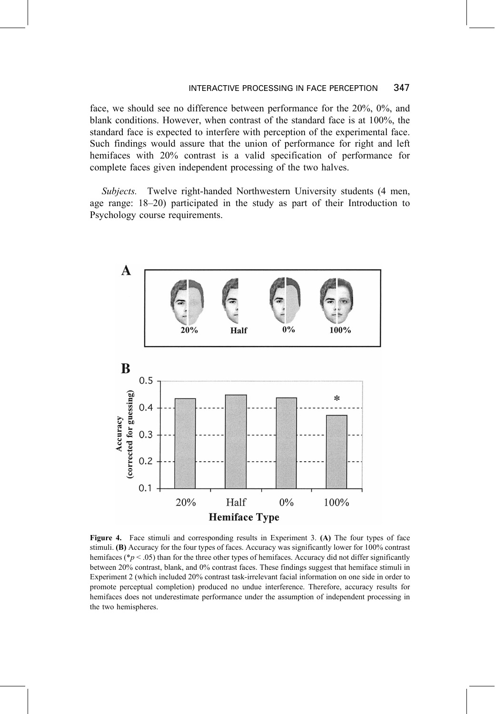#### INTERACTIVE PROCESSING IN FACE PERCEPTION 347

face, we should see no difference between performance for the 20%, 0%, and blank conditions. However, when contrast of the standard face is at 100%, the standard face is expected to interfere with perception of the experimental face. Such findings would assure that the union of performance for right and left hemifaces with 20% contrast is a valid specification of performance for complete faces given independent processing of the two halves.

Subjects. Twelve right-handed Northwestern University students (4 men, age range: 18–20) participated in the study as part of their Introduction to Psychology course requirements.



Figure 4. Face stimuli and corresponding results in Experiment 3. (A) The four types of face stimuli. (B) Accuracy for the four types of faces. Accuracy was significantly lower for 100% contrast hemifaces (\* $p < .05$ ) than for the three other types of hemifaces. Accuracy did not differ significantly between 20% contrast, blank, and 0% contrast faces. These findings suggest that hemiface stimuli in Experiment 2 (which included 20% contrast task-irrelevant facial information on one side in order to promote perceptual completion) produced no undue interference. Therefore, accuracy results for hemifaces does not underestimate performance under the assumption of independent processing in the two hemispheres.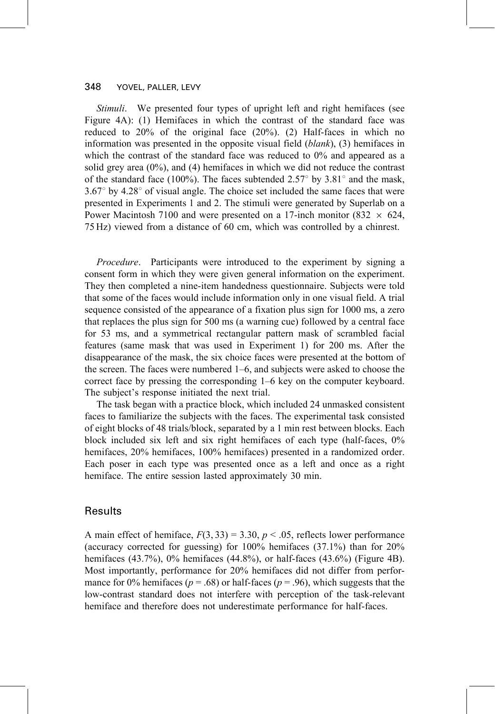Stimuli. We presented four types of upright left and right hemifaces (see Figure 4A): (1) Hemifaces in which the contrast of the standard face was reduced to 20% of the original face (20%). (2) Half-faces in which no information was presented in the opposite visual field  $(blank)$ , (3) hemifaces in which the contrast of the standard face was reduced to  $0\%$  and appeared as a solid grey area  $(0\%)$ , and  $(4)$  hemifaces in which we did not reduce the contrast of the standard face (100%). The faces subtended 2.57° by 3.81° and the mask,  $3.67^{\circ}$  by 4.28° of visual angle. The choice set included the same faces that were presented in Experiments 1 and 2. The stimuli were generated by Superlab on a Power Macintosh 7100 and were presented on a 17-inch monitor (832  $\times$  624, 75 Hz) viewed from a distance of 60 cm, which was controlled by a chinrest.

*Procedure.* Participants were introduced to the experiment by signing a consent form in which they were given general information on the experiment. They then completed a nine-item handedness questionnaire. Subjects were told that some of the faces would include information only in one visual field. A trial sequence consisted of the appearance of a fixation plus sign for 1000 ms, a zero that replaces the plus sign for 500 ms (a warning cue) followed by a central face for 53 ms, and a symmetrical rectangular pattern mask of scrambled facial features (same mask that was used in Experiment 1) for 200 ms. After the disappearance of the mask, the six choice faces were presented at the bottom of the screen. The faces were numbered  $1-6$ , and subjects were asked to choose the correct face by pressing the corresponding 1–6 key on the computer keyboard. The subject's response initiated the next trial.

The task began with a practice block, which included 24 unmasked consistent faces to familiarize the subjects with the faces. The experimental task consisted of eight blocks of 48 trials/block, separated by a 1 min rest between blocks. Each block included six left and six right hemifaces of each type (half-faces,  $0\%$ ) hemifaces, 20% hemifaces, 100% hemifaces) presented in a randomized order. Each poser in each type was presented once as a left and once as a right hemiface. The entire session lasted approximately 30 min.

# Results

A main effect of hemiface,  $F(3,33) = 3.30, p < .05$ , reflects lower performance (accuracy corrected for guessing) for 100% hemifaces  $(37.1\%)$  than for  $20\%$ hemifaces  $(43.7\%)$ ,  $0\%$  hemifaces  $(44.8\%)$ , or half-faces  $(43.6\%)$  (Figure 4B). Most importantly, performance for 20% hemifaces did not differ from performance for 0% hemifaces ( $p = .68$ ) or half-faces ( $p = .96$ ), which suggests that the low-contrast standard does not interfere with perception of the task-relevant hemiface and therefore does not underestimate performance for half-faces.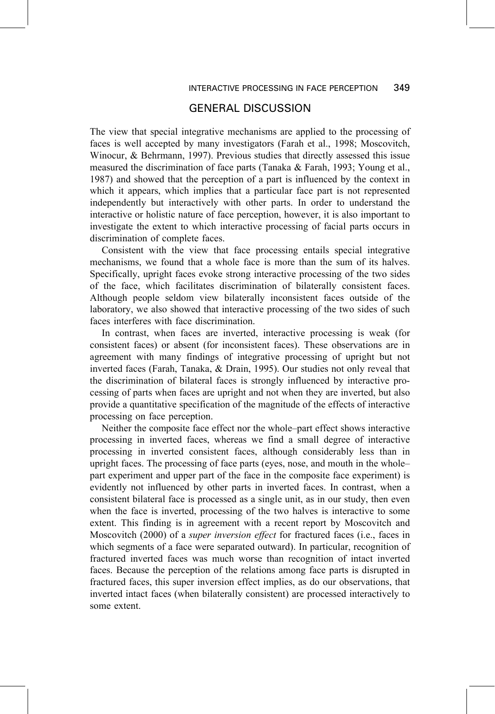## **GENERAL DISCUSSION**

The view that special integrative mechanisms are applied to the processing of faces is well accepted by many investigators (Farah et al., 1998; Moscovitch, Winocur, & Behrmann, 1997). Previous studies that directly assessed this issue measured the discrimination of face parts (Tanaka & Farah, 1993; Young et al., 1987) and showed that the perception of a part is influenced by the context in which it appears, which implies that a particular face part is not represented independently but interactively with other parts. In order to understand the interactive or holistic nature of face perception, however, it is also important to investigate the extent to which interactive processing of facial parts occurs in discrimination of complete faces.

Consistent with the view that face processing entails special integrative mechanisms, we found that a whole face is more than the sum of its halves. Specifically, upright faces evoke strong interactive processing of the two sides of the face, which facilitates discrimination of bilaterally consistent faces. Although people seldom view bilaterally inconsistent faces outside of the laboratory, we also showed that interactive processing of the two sides of such faces interferes with face discrimination.

In contrast, when faces are inverted, interactive processing is weak (for consistent faces) or absent (for inconsistent faces). These observations are in agreement with many findings of integrative processing of upright but not inverted faces (Farah, Tanaka, & Drain, 1995). Our studies not only reveal that the discrimination of bilateral faces is strongly influenced by interactive processing of parts when faces are upright and not when they are inverted, but also provide a quantitative specification of the magnitude of the effects of interactive processing on face perception.

Neither the composite face effect nor the whole–part effect shows interactive processing in inverted faces, whereas we find a small degree of interactive processing in inverted consistent faces, although considerably less than in upright faces. The processing of face parts (eyes, nose, and mouth in the wholepart experiment and upper part of the face in the composite face experiment) is evidently not influenced by other parts in inverted faces. In contrast, when a consistent bilateral face is processed as a single unit, as in our study, then even when the face is inverted, processing of the two halves is interactive to some extent. This finding is in agreement with a recent report by Moscovitch and Moscovitch (2000) of a *super inversion effect* for fractured faces (i.e., faces in which segments of a face were separated outward). In particular, recognition of fractured inverted faces was much worse than recognition of intact inverted faces. Because the perception of the relations among face parts is disrupted in fractured faces, this super inversion effect implies, as do our observations, that inverted intact faces (when bilaterally consistent) are processed interactively to some extent.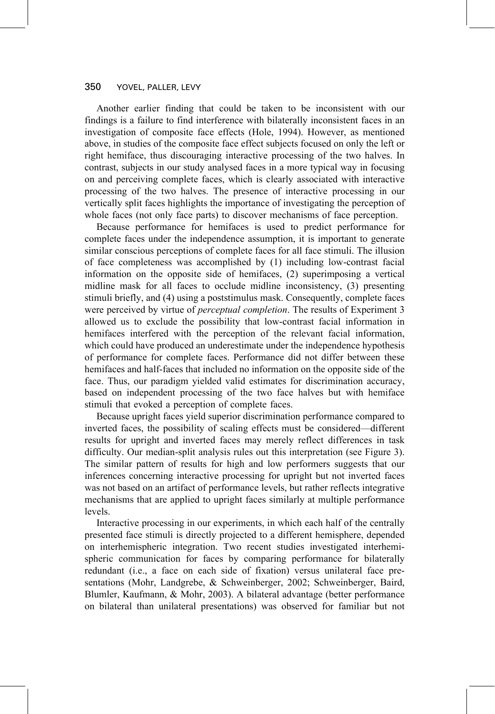Another earlier finding that could be taken to be inconsistent with our findings is a failure to find interference with bilaterally inconsistent faces in an investigation of composite face effects (Hole, 1994). However, as mentioned above, in studies of the composite face effect subjects focused on only the left or right hemiface, thus discouraging interactive processing of the two halves. In contrast, subjects in our study analysed faces in a more typical way in focusing on and perceiving complete faces, which is clearly associated with interactive processing of the two halves. The presence of interactive processing in our vertically split faces highlights the importance of investigating the perception of whole faces (not only face parts) to discover mechanisms of face perception.

Because performance for hemifaces is used to predict performance for complete faces under the independence assumption, it is important to generate similar conscious perceptions of complete faces for all face stimuli. The illusion of face completeness was accomplished by (1) including low-contrast facial information on the opposite side of hemifaces, (2) superimposing a vertical midline mask for all faces to occlude midline inconsistency, (3) presenting stimuli briefly, and (4) using a poststimulus mask. Consequently, complete faces were perceived by virtue of *perceptual completion*. The results of Experiment 3 allowed us to exclude the possibility that low-contrast facial information in hemifaces interfered with the perception of the relevant facial information, which could have produced an underestimate under the independence hypothesis of performance for complete faces. Performance did not differ between these hemifaces and half-faces that included no information on the opposite side of the face. Thus, our paradigm yielded valid estimates for discrimination accuracy, based on independent processing of the two face halves but with hemiface stimuli that evoked a perception of complete faces.

Because upright faces yield superior discrimination performance compared to inverted faces, the possibility of scaling effects must be considered—different results for upright and inverted faces may merely reflect differences in task difficulty. Our median-split analysis rules out this interpretation (see Figure 3). The similar pattern of results for high and low performers suggests that our inferences concerning interactive processing for upright but not inverted faces was not based on an artifact of performance levels, but rather reflects integrative mechanisms that are applied to upright faces similarly at multiple performance levels.

Interactive processing in our experiments, in which each half of the centrally presented face stimuli is directly projected to a different hemisphere, depended on interhemispheric integration. Two recent studies investigated interhemispheric communication for faces by comparing performance for bilaterally redundant (i.e., a face on each side of fixation) versus unilateral face presentations (Mohr, Landgrebe, & Schweinberger, 2002; Schweinberger, Baird, Blumler, Kaufmann, & Mohr, 2003). A bilateral advantage (better performance on bilateral than unilateral presentations) was observed for familiar but not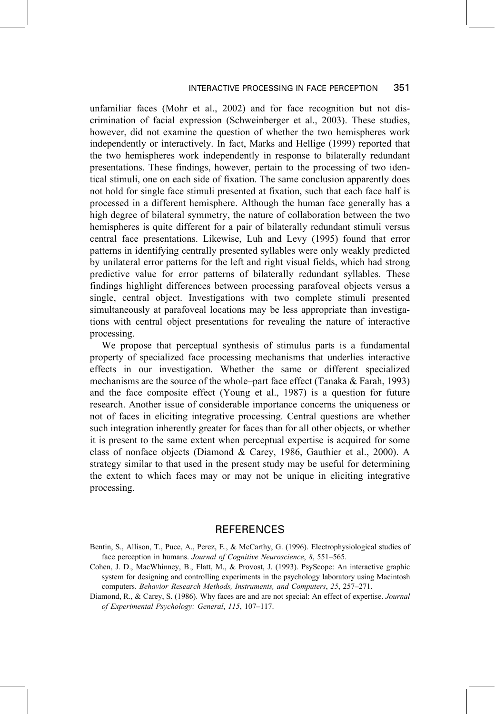#### INTERACTIVE PROCESSING IN FACE PERCEPTION 351

unfamiliar faces (Mohr et al., 2002) and for face recognition but not discrimination of facial expression (Schweinberger et al., 2003). These studies, however, did not examine the question of whether the two hemispheres work independently or interactively. In fact, Marks and Hellige (1999) reported that the two hemispheres work independently in response to bilaterally redundant presentations. These findings, however, pertain to the processing of two identical stimuli, one on each side of fixation. The same conclusion apparently does not hold for single face stimuli presented at fixation, such that each face half is processed in a different hemisphere. Although the human face generally has a high degree of bilateral symmetry, the nature of collaboration between the two hemispheres is quite different for a pair of bilaterally redundant stimuli versus central face presentations. Likewise, Luh and Levy (1995) found that error patterns in identifying centrally presented syllables were only weakly predicted by unilateral error patterns for the left and right visual fields, which had strong predictive value for error patterns of bilaterally redundant syllables. These findings highlight differences between processing parafoveal objects versus a single, central object. Investigations with two complete stimuli presented simultaneously at parafoveal locations may be less appropriate than investigations with central object presentations for revealing the nature of interactive processing.

We propose that perceptual synthesis of stimulus parts is a fundamental property of specialized face processing mechanisms that underlies interactive effects in our investigation. Whether the same or different specialized mechanisms are the source of the whole-part face effect (Tanaka & Farah, 1993) and the face composite effect (Young et al., 1987) is a question for future research. Another issue of considerable importance concerns the uniqueness or not of faces in eliciting integrative processing. Central questions are whether such integration inherently greater for faces than for all other objects, or whether it is present to the same extent when perceptual expertise is acquired for some class of nonface objects (Diamond & Carey, 1986, Gauthier et al., 2000). A strategy similar to that used in the present study may be useful for determining the extent to which faces may or may not be unique in eliciting integrative processing.

### **REFERENCES**

- Bentin, S., Allison, T., Puce, A., Perez, E., & McCarthy, G. (1996). Electrophysiological studies of face perception in humans. Journal of Cognitive Neuroscience, 8, 551–565.
- Cohen, J. D., MacWhinney, B., Flatt, M., & Provost, J. (1993). PsyScope: An interactive graphic system for designing and controlling experiments in the psychology laboratory using Macintosh computers. Behavior Research Methods, Instruments, and Computers, 25, 257-271.
- Diamond, R., & Carey, S. (1986). Why faces are and are not special: An effect of expertise. Journal of Experimental Psychology: General, 115, 107-117.